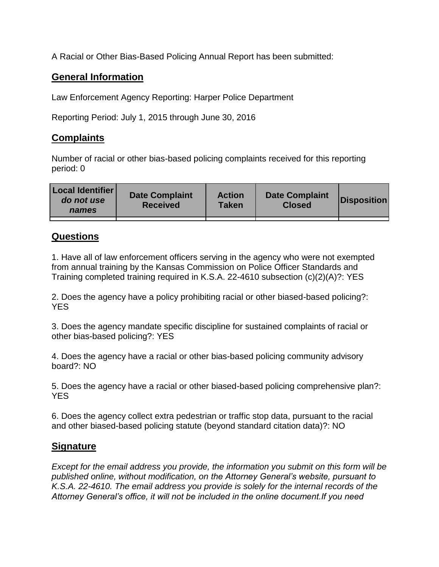A Racial or Other Bias-Based Policing Annual Report has been submitted:

## **General Information**

Law Enforcement Agency Reporting: Harper Police Department

Reporting Period: July 1, 2015 through June 30, 2016

## **Complaints**

Number of racial or other bias-based policing complaints received for this reporting period: 0

| <b>Local Identifier</b><br>do not use<br>names | <b>Date Complaint</b><br><b>Received</b> | <b>Action</b><br><b>Taken</b> | <b>Date Complaint</b><br><b>Closed</b> | Disposition |
|------------------------------------------------|------------------------------------------|-------------------------------|----------------------------------------|-------------|
|                                                |                                          |                               |                                        |             |

## **Questions**

1. Have all of law enforcement officers serving in the agency who were not exempted from annual training by the Kansas Commission on Police Officer Standards and Training completed training required in K.S.A. 22-4610 subsection (c)(2)(A)?: YES

2. Does the agency have a policy prohibiting racial or other biased-based policing?: YES

3. Does the agency mandate specific discipline for sustained complaints of racial or other bias-based policing?: YES

4. Does the agency have a racial or other bias-based policing community advisory board?: NO

5. Does the agency have a racial or other biased-based policing comprehensive plan?: YES

6. Does the agency collect extra pedestrian or traffic stop data, pursuant to the racial and other biased-based policing statute (beyond standard citation data)?: NO

## **Signature**

*Except for the email address you provide, the information you submit on this form will be published online, without modification, on the Attorney General's website, pursuant to K.S.A. 22-4610. The email address you provide is solely for the internal records of the Attorney General's office, it will not be included in the online document.If you need*